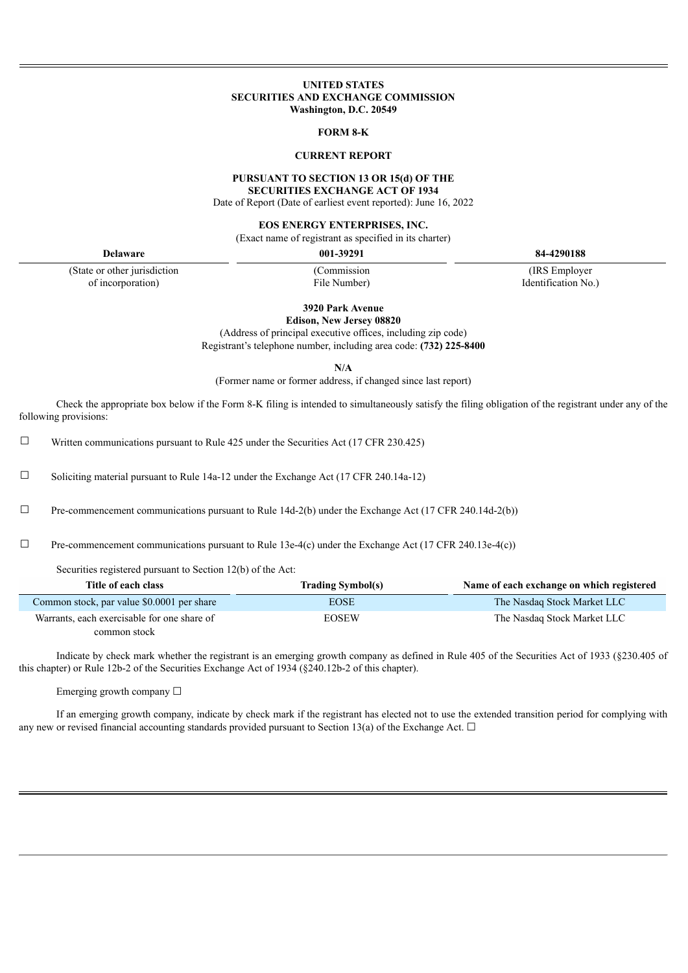#### **UNITED STATES SECURITIES AND EXCHANGE COMMISSION Washington, D.C. 20549**

#### **FORM 8-K**

## **CURRENT REPORT**

#### **PURSUANT TO SECTION 13 OR 15(d) OF THE SECURITIES EXCHANGE ACT OF 1934**

Date of Report (Date of earliest event reported): June 16, 2022

#### **EOS ENERGY ENTERPRISES, INC.**

(Exact name of registrant as specified in its charter)

(State or other jurisdiction of incorporation)

(Commission File Number)

**Delaware 001-39291 84-4290188**

(IRS Employer Identification No.)

**3920 Park Avenue**

**Edison, New Jersey 08820**

(Address of principal executive offices, including zip code) Registrant's telephone number, including area code: **(732) 225-8400**

**N/A**

(Former name or former address, if changed since last report)

Check the appropriate box below if the Form 8-K filing is intended to simultaneously satisfy the filing obligation of the registrant under any of the following provisions:

 $\Box$  Written communications pursuant to Rule 425 under the Securities Act (17 CFR 230.425)

 $\Box$  Soliciting material pursuant to Rule 14a-12 under the Exchange Act (17 CFR 240.14a-12)

 $\Box$  Pre-commencement communications pursuant to Rule 14d-2(b) under the Exchange Act (17 CFR 240.14d-2(b))

 $\Box$  Pre-commencement communications pursuant to Rule 13e-4(c) under the Exchange Act (17 CFR 240.13e-4(c))

Securities registered pursuant to Section 12(b) of the Act:

| Title of each class                         | <b>Trading Symbol(s)</b> | Name of each exchange on which registered |
|---------------------------------------------|--------------------------|-------------------------------------------|
| Common stock, par value \$0.0001 per share  | <b>EOSE</b>              | The Nasdag Stock Market LLC               |
| Warrants, each exercisable for one share of | <b>EOSEW</b>             | The Nasdag Stock Market LLC               |
| common stock                                |                          |                                           |

Indicate by check mark whether the registrant is an emerging growth company as defined in Rule 405 of the Securities Act of 1933 (§230.405 of this chapter) or Rule 12b-2 of the Securities Exchange Act of 1934 (§240.12b-2 of this chapter).

Emerging growth company ☐

If an emerging growth company, indicate by check mark if the registrant has elected not to use the extended transition period for complying with any new or revised financial accounting standards provided pursuant to Section 13(a) of the Exchange Act.  $\Box$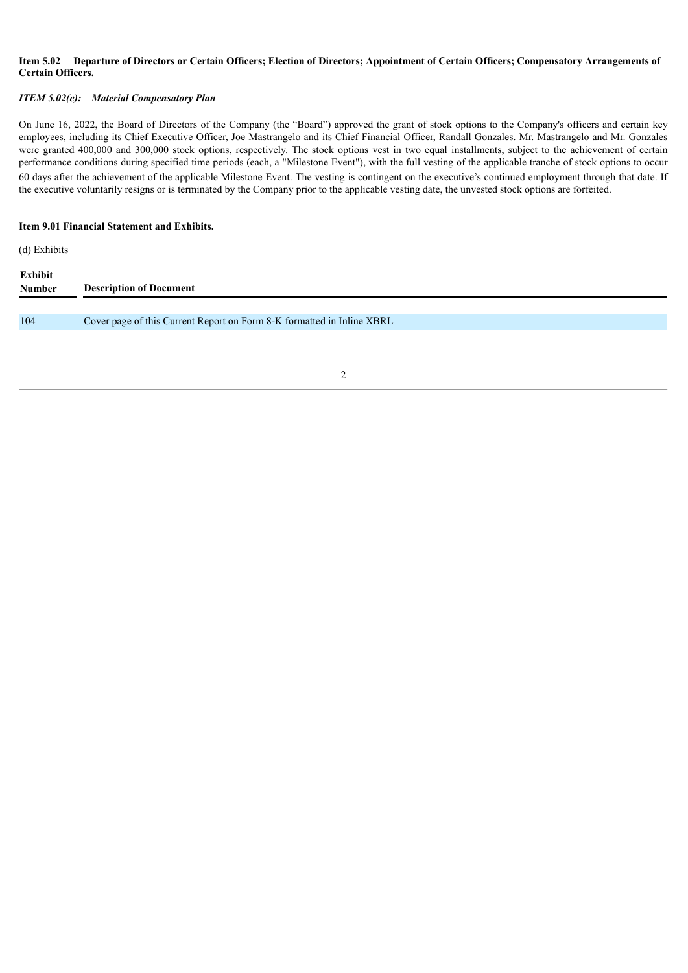## Item 5.02 Departure of Directors or Certain Officers; Election of Directors; Appointment of Certain Officers; Compensatory Arrangements of **Certain Officers.**

## *ITEM 5.02(e): Material Compensatory Plan*

On June 16, 2022, the Board of Directors of the Company (the "Board") approved the grant of stock options to the Company's officers and certain key employees, including its Chief Executive Officer, Joe Mastrangelo and its Chief Financial Officer, Randall Gonzales. Mr. Mastrangelo and Mr. Gonzales were granted 400,000 and 300,000 stock options, respectively. The stock options vest in two equal installments, subject to the achievement of certain performance conditions during specified time periods (each, a "Milestone Event"), with the full vesting of the applicable tranche of stock options to occur 60 days after the achievement of the applicable Milestone Event. The vesting is contingent on the executive's continued employment through that date. If the executive voluntarily resigns or is terminated by the Company prior to the applicable vesting date, the unvested stock options are forfeited.

#### **Item 9.01 Financial Statement and Exhibits.**

(d) Exhibits

| Exhibit<br><b>Number</b> | <b>Description of Document</b>                                         |
|--------------------------|------------------------------------------------------------------------|
|                          |                                                                        |
| 104                      | Cover page of this Current Report on Form 8-K formatted in Inline XBRL |
|                          |                                                                        |

2